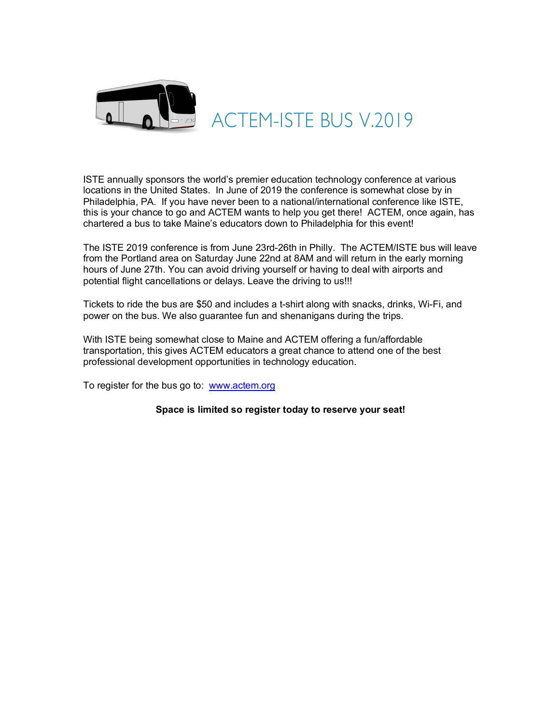

## ACTEM-ISTE BUS V.2019

ISTE annually sponsors the world's premier education technology conference at various locations in the United States. In June of 2019 the conference is somewhat close by in Philadelphia, PA. If you have never been to a national/international conference like ISTE, this is your chance to go and ACTEM wants to help you get there! ACTEM, once again, has chartered a bus to take Maine's educators down to Philadelphia for this event!

The ISTE 2019 conference is from June 23rd-26th in Philly. The ACTEM/ISTE bus will leave from the Portland area on Saturday June 22nd at 8AM and will return in the early morning hours of June 27th. You can avoid driving yourself or having to deal with airports and potential flight cancellations or delays. Leave the driving to us!!!

Tickets to ride the bus are \$50 and includes a t-shirt along with snacks, drinks, Wi-Fi, and power on the bus. We also guarantee fun and shenanigans during the trips.

With ISTE being somewhat close to Maine and ACTEM offering a fun/affordable transportation, this gives ACTEM educators a great chance to attend one of the best professional development opportunities in technology education.

To register for the bus go to: www.actem.org

**Space is limited so register today to reserve your seat!**